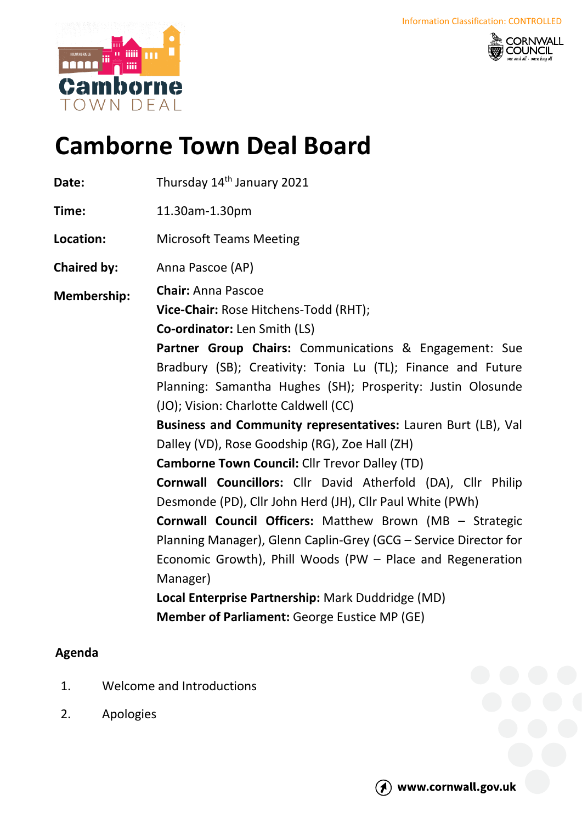



## **Camborne Town Deal Board**

| Date:              | Thursday 14 <sup>th</sup> January 2021                                                                                                                                                                                                                                                                                                                                                                                                                                                                                                                                                                                                                                                                                                                                                                                                                                                                                     |
|--------------------|----------------------------------------------------------------------------------------------------------------------------------------------------------------------------------------------------------------------------------------------------------------------------------------------------------------------------------------------------------------------------------------------------------------------------------------------------------------------------------------------------------------------------------------------------------------------------------------------------------------------------------------------------------------------------------------------------------------------------------------------------------------------------------------------------------------------------------------------------------------------------------------------------------------------------|
| Time:              | 11.30am-1.30pm                                                                                                                                                                                                                                                                                                                                                                                                                                                                                                                                                                                                                                                                                                                                                                                                                                                                                                             |
| Location:          | <b>Microsoft Teams Meeting</b>                                                                                                                                                                                                                                                                                                                                                                                                                                                                                                                                                                                                                                                                                                                                                                                                                                                                                             |
| <b>Chaired by:</b> | Anna Pascoe (AP)                                                                                                                                                                                                                                                                                                                                                                                                                                                                                                                                                                                                                                                                                                                                                                                                                                                                                                           |
| <b>Membership:</b> | <b>Chair: Anna Pascoe</b><br>Vice-Chair: Rose Hitchens-Todd (RHT);<br>Co-ordinator: Len Smith (LS)<br>Partner Group Chairs: Communications & Engagement: Sue<br>Bradbury (SB); Creativity: Tonia Lu (TL); Finance and Future<br>Planning: Samantha Hughes (SH); Prosperity: Justin Olosunde<br>(JO); Vision: Charlotte Caldwell (CC)<br>Business and Community representatives: Lauren Burt (LB), Val<br>Dalley (VD), Rose Goodship (RG), Zoe Hall (ZH)<br><b>Camborne Town Council: Cllr Trevor Dalley (TD)</b><br><b>Cornwall Councillors:</b> Cllr David Atherfold (DA), Cllr Philip<br>Desmonde (PD), Cllr John Herd (JH), Cllr Paul White (PWh)<br><b>Cornwall Council Officers:</b> Matthew Brown (MB - Strategic<br>Planning Manager), Glenn Caplin-Grey (GCG - Service Director for<br>Economic Growth), Phill Woods (PW - Place and Regeneration<br>Manager)<br>Local Enterprise Partnership: Mark Duddridge (MD) |
|                    | <b>Member of Parliament: George Eustice MP (GE)</b>                                                                                                                                                                                                                                                                                                                                                                                                                                                                                                                                                                                                                                                                                                                                                                                                                                                                        |

## **Agenda**

- 1. Welcome and Introductions
- 2. Apologies